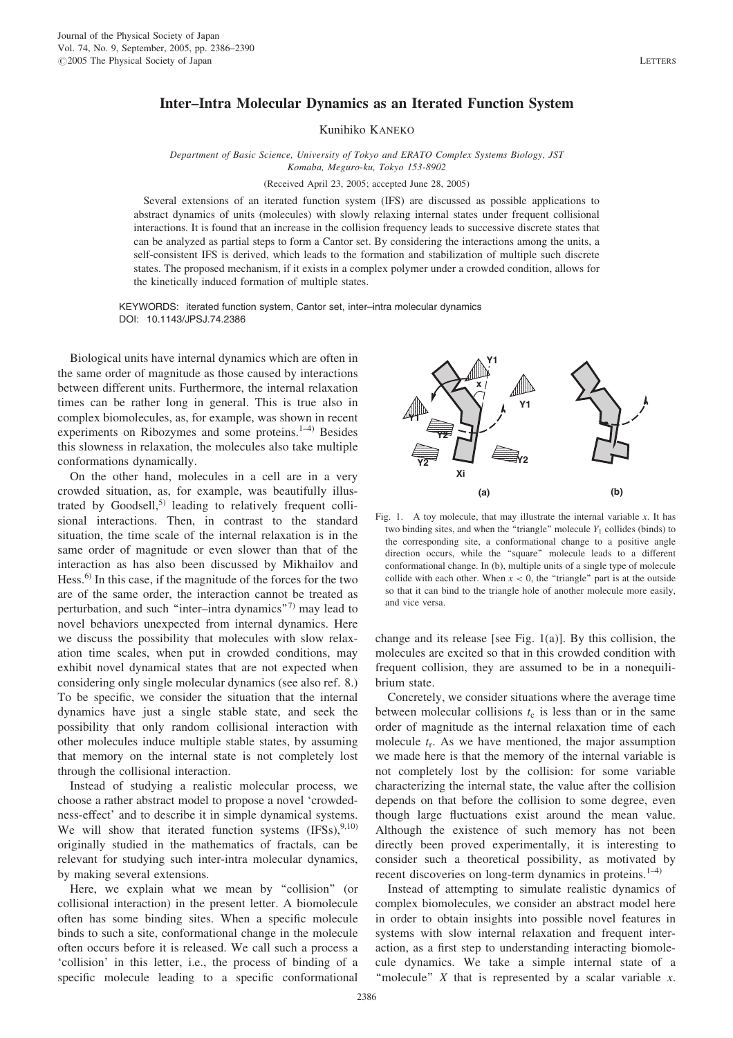## Inter–Intra Molecular Dynamics as an Iterated Function System

Kunihiko KANEKO

Department of Basic Science, University of Tokyo and ERATO Complex Systems Biology, JST Komaba, Meguro-ku, Tokyo 153-8902

(Received April 23, 2005; accepted June 28, 2005)

Several extensions of an iterated function system (IFS) are discussed as possible applications to abstract dynamics of units (molecules) with slowly relaxing internal states under frequent collisional interactions. It is found that an increase in the collision frequency leads to successive discrete states that can be analyzed as partial steps to form a Cantor set. By considering the interactions among the units, a self-consistent IFS is derived, which leads to the formation and stabilization of multiple such discrete states. The proposed mechanism, if it exists in a complex polymer under a crowded condition, allows for the kinetically induced formation of multiple states.

KEYWORDS: iterated function system, Cantor set, inter–intra molecular dynamics DOI: 10.1143/JPSJ.74.2386

Biological units have internal dynamics which are often in the same order of magnitude as those caused by interactions between different units. Furthermore, the internal relaxation times can be rather long in general. This is true also in complex biomolecules, as, for example, was shown in recent experiments on Ribozymes and some proteins. $1-4$ ) Besides this slowness in relaxation, the molecules also take multiple conformations dynamically.

On the other hand, molecules in a cell are in a very crowded situation, as, for example, was beautifully illustrated by Goodsell,<sup>5)</sup> leading to relatively frequent collisional interactions. Then, in contrast to the standard situation, the time scale of the internal relaxation is in the same order of magnitude or even slower than that of the interaction as has also been discussed by Mikhailov and Hess.6) In this case, if the magnitude of the forces for the two are of the same order, the interaction cannot be treated as perturbation, and such "inter–intra dynamics"<sup>7)</sup> may lead to novel behaviors unexpected from internal dynamics. Here we discuss the possibility that molecules with slow relaxation time scales, when put in crowded conditions, may exhibit novel dynamical states that are not expected when considering only single molecular dynamics (see also ref. 8.) To be specific, we consider the situation that the internal dynamics have just a single stable state, and seek the possibility that only random collisional interaction with other molecules induce multiple stable states, by assuming that memory on the internal state is not completely lost through the collisional interaction.

Instead of studying a realistic molecular process, we choose a rather abstract model to propose a novel 'crowdedness-effect' and to describe it in simple dynamical systems. We will show that iterated function systems  $(IFS)$ ,  $(9,10)$ originally studied in the mathematics of fractals, can be relevant for studying such inter-intra molecular dynamics, by making several extensions.

Here, we explain what we mean by "collision" (or collisional interaction) in the present letter. A biomolecule often has some binding sites. When a specific molecule binds to such a site, conformational change in the molecule often occurs before it is released. We call such a process a 'collision' in this letter, i.e., the process of binding of a specific molecule leading to a specific conformational



Fig. 1. A toy molecule, that may illustrate the internal variable  $x$ . It has two binding sites, and when the "triangle" molecule  $Y_1$  collides (binds) to the corresponding site, a conformational change to a positive angle direction occurs, while the ''square'' molecule leads to a different conformational change. In (b), multiple units of a single type of molecule collide with each other. When  $x < 0$ , the "triangle" part is at the outside so that it can bind to the triangle hole of another molecule more easily, and vice versa.

change and its release [see Fig. 1(a)]. By this collision, the molecules are excited so that in this crowded condition with frequent collision, they are assumed to be in a nonequilibrium state.

Concretely, we consider situations where the average time between molecular collisions  $t_c$  is less than or in the same order of magnitude as the internal relaxation time of each molecule  $t_r$ . As we have mentioned, the major assumption we made here is that the memory of the internal variable is not completely lost by the collision: for some variable characterizing the internal state, the value after the collision depends on that before the collision to some degree, even though large fluctuations exist around the mean value. Although the existence of such memory has not been directly been proved experimentally, it is interesting to consider such a theoretical possibility, as motivated by recent discoveries on long-term dynamics in proteins.<sup>1-4)</sup>

Instead of attempting to simulate realistic dynamics of complex biomolecules, we consider an abstract model here in order to obtain insights into possible novel features in systems with slow internal relaxation and frequent interaction, as a first step to understanding interacting biomolecule dynamics. We take a simple internal state of a "molecule"  $X$  that is represented by a scalar variable  $x$ .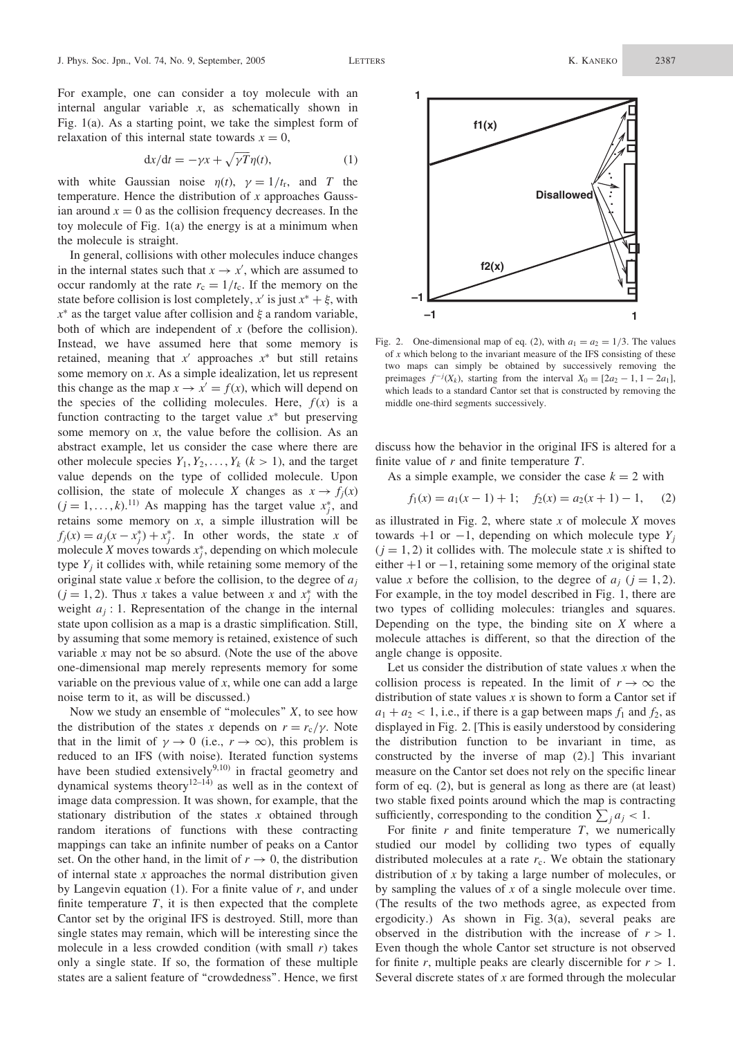For example, one can consider a toy molecule with an internal angular variable  $x$ , as schematically shown in Fig. 1(a). As a starting point, we take the simplest form of relaxation of this internal state towards  $x = 0$ ,

$$
dx/dt = -\gamma x + \sqrt{\gamma T} \eta(t), \qquad (1)
$$

with white Gaussian noise  $\eta(t)$ ,  $\gamma = 1/t_r$ , and T the temperature. Hence the distribution of  $x$  approaches Gaussian around  $x = 0$  as the collision frequency decreases. In the toy molecule of Fig. 1(a) the energy is at a minimum when the molecule is straight.

In general, collisions with other molecules induce changes in the internal states such that  $x \to x'$ , which are assumed to occur randomly at the rate  $r_c = 1/t_c$ . If the memory on the state before collision is lost completely, x' is just  $x^* + \xi$ , with  $x^*$  as the target value after collision and  $\xi$  a random variable, both of which are independent of  $x$  (before the collision). Instead, we have assumed here that some memory is retained, meaning that  $x'$  approaches  $x^*$  but still retains some memory on x. As a simple idealization, let us represent this change as the map  $x \to x' = f(x)$ , which will depend on the species of the colliding molecules. Here,  $f(x)$  is a function contracting to the target value  $x^*$  but preserving some memory on  $x$ , the value before the collision. As an abstract example, let us consider the case where there are other molecule species  $Y_1, Y_2, \ldots, Y_k$  ( $k > 1$ ), and the target value depends on the type of collided molecule. Upon collision, the state of molecule X changes as  $x \to f_i(x)$  $(j = 1, ..., k)$ .<sup>11)</sup> As mapping has the target value  $x_j^*$ , and retains some memory on  $x$ , a simple illustration will be  $f_j(x) = a_j(x - x_j^*) + x_j^*$ . In other words, the state x of molecule X moves towards  $x_j^*$ , depending on which molecule type  $Y_i$  it collides with, while retaining some memory of the original state value x before the collision, to the degree of  $a_i$  $(j = 1, 2)$ . Thus x takes a value between x and  $x_j^*$  with the weight  $a_i$ : 1. Representation of the change in the internal state upon collision as a map is a drastic simplification. Still, by assuming that some memory is retained, existence of such variable  $x$  may not be so absurd. (Note the use of the above one-dimensional map merely represents memory for some variable on the previous value of  $x$ , while one can add a large noise term to it, as will be discussed.)

Now we study an ensemble of "molecules"  $X$ , to see how the distribution of the states x depends on  $r = r_c/\gamma$ . Note that in the limit of  $\gamma \to 0$  (i.e.,  $r \to \infty$ ), this problem is reduced to an IFS (with noise). Iterated function systems have been studied extensively $9,10)$  in fractal geometry and dynamical systems theory<sup>12–14)</sup> as well as in the context of image data compression. It was shown, for example, that the stationary distribution of the states  $x$  obtained through random iterations of functions with these contracting mappings can take an infinite number of peaks on a Cantor set. On the other hand, in the limit of  $r \to 0$ , the distribution of internal state  $x$  approaches the normal distribution given by Langevin equation (1). For a finite value of  $r$ , and under finite temperature  $T$ , it is then expected that the complete Cantor set by the original IFS is destroyed. Still, more than single states may remain, which will be interesting since the molecule in a less crowded condition (with small  $r$ ) takes only a single state. If so, the formation of these multiple states are a salient feature of ''crowdedness''. Hence, we first



Fig. 2. One-dimensional map of eq. (2), with  $a_1 = a_2 = 1/3$ . The values of  $x$  which belong to the invariant measure of the IFS consisting of these two maps can simply be obtained by successively removing the preimages  $f^{-j}(X_k)$ , starting from the interval  $X_0 = [2a_2 - 1, 1 - 2a_1]$ , which leads to a standard Cantor set that is constructed by removing the middle one-third segments successively.

discuss how the behavior in the original IFS is altered for a finite value of  $r$  and finite temperature  $T$ .

As a simple example, we consider the case  $k = 2$  with

$$
f_1(x) = a_1(x - 1) + 1; \quad f_2(x) = a_2(x + 1) - 1, \quad (2)
$$

as illustrated in Fig. 2, where state  $x$  of molecule  $X$  moves towards  $+1$  or  $-1$ , depending on which molecule type  $Y_i$  $(i = 1, 2)$  it collides with. The molecule state x is shifted to either  $+1$  or  $-1$ , retaining some memory of the original state value x before the collision, to the degree of  $a_i$  ( $j = 1, 2$ ). For example, in the toy model described in Fig. 1, there are two types of colliding molecules: triangles and squares. Depending on the type, the binding site on  $X$  where a molecule attaches is different, so that the direction of the angle change is opposite.

Let us consider the distribution of state values  $x$  when the collision process is repeated. In the limit of  $r \to \infty$  the distribution of state values x is shown to form a Cantor set if  $a_1 + a_2 < 1$ , i.e., if there is a gap between maps  $f_1$  and  $f_2$ , as displayed in Fig. 2. [This is easily understood by considering the distribution function to be invariant in time, as constructed by the inverse of map (2).] This invariant measure on the Cantor set does not rely on the specific linear form of eq. (2), but is general as long as there are (at least) two stable fixed points around which the map is contracting sufficiently, corresponding to the condition  $\sum_j a_j < 1$ .

For finite  $r$  and finite temperature  $T$ , we numerically studied our model by colliding two types of equally distributed molecules at a rate  $r_c$ . We obtain the stationary distribution of x by taking a large number of molecules, or by sampling the values of  $x$  of a single molecule over time. (The results of the two methods agree, as expected from ergodicity.) As shown in Fig. 3(a), several peaks are observed in the distribution with the increase of  $r > 1$ . Even though the whole Cantor set structure is not observed for finite r, multiple peaks are clearly discernible for  $r > 1$ . Several discrete states of  $x$  are formed through the molecular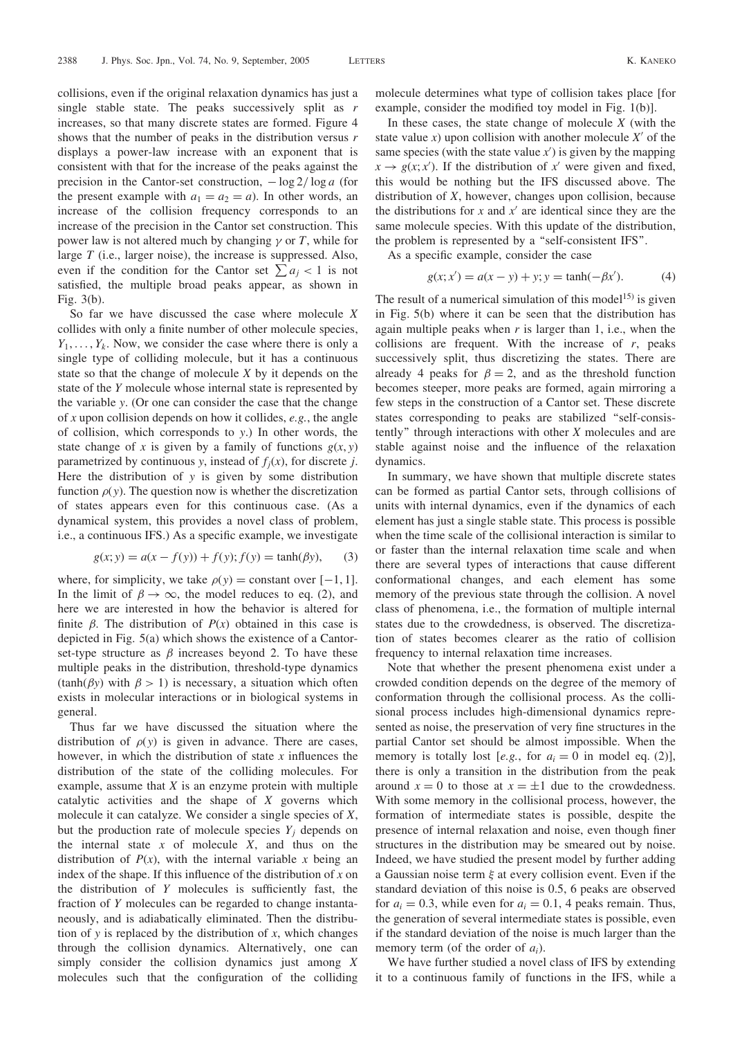collisions, even if the original relaxation dynamics has just a single stable state. The peaks successively split as  $r$ increases, so that many discrete states are formed. Figure 4 shows that the number of peaks in the distribution versus  $r$ displays a power-law increase with an exponent that is consistent with that for the increase of the peaks against the precision in the Cantor-set construction,  $-\log 2/\log a$  (for the present example with  $a_1 = a_2 = a$ ). In other words, an increase of the collision frequency corresponds to an increase of the precision in the Cantor set construction. This power law is not altered much by changing  $\gamma$  or T, while for large T (i.e., larger noise), the increase is suppressed. Also, even if the condition for the Cantor set  $\sum a_i < 1$  is not satisfied, the multiple broad peaks appear, as shown in Fig. 3(b).

So far we have discussed the case where molecule X collides with only a finite number of other molecule species,  $Y_1, \ldots, Y_k$ . Now, we consider the case where there is only a single type of colliding molecule, but it has a continuous state so that the change of molecule  $X$  by it depends on the state of the Y molecule whose internal state is represented by the variable y. (Or one can consider the case that the change of x upon collision depends on how it collides, e.g., the angle of collision, which corresponds to y.) In other words, the state change of x is given by a family of functions  $g(x, y)$ parametrized by continuous y, instead of  $f_j(x)$ , for discrete j. Here the distribution of  $y$  is given by some distribution function  $\rho(y)$ . The question now is whether the discretization of states appears even for this continuous case. (As a dynamical system, this provides a novel class of problem, i.e., a continuous IFS.) As a specific example, we investigate

$$
g(x; y) = a(x - f(y)) + f(y); f(y) = \tanh(\beta y),
$$
 (3)

where, for simplicity, we take  $\rho(y) = constant over [-1, 1].$ In the limit of  $\beta \to \infty$ , the model reduces to eq. (2), and here we are interested in how the behavior is altered for finite  $\beta$ . The distribution of  $P(x)$  obtained in this case is depicted in Fig. 5(a) which shows the existence of a Cantorset-type structure as  $\beta$  increases beyond 2. To have these multiple peaks in the distribution, threshold-type dynamics  $(tanh(\beta y)$  with  $\beta > 1$ ) is necessary, a situation which often exists in molecular interactions or in biological systems in general.

Thus far we have discussed the situation where the distribution of  $\rho(y)$  is given in advance. There are cases, however, in which the distribution of state  $x$  influences the distribution of the state of the colliding molecules. For example, assume that  $X$  is an enzyme protein with multiple catalytic activities and the shape of X governs which molecule it can catalyze. We consider a single species of X, but the production rate of molecule species  $Y_i$  depends on the internal state  $x$  of molecule  $X$ , and thus on the distribution of  $P(x)$ , with the internal variable x being an index of the shape. If this influence of the distribution of  $x$  on the distribution of Y molecules is sufficiently fast, the fraction of Y molecules can be regarded to change instantaneously, and is adiabatically eliminated. Then the distribution of y is replaced by the distribution of x, which changes through the collision dynamics. Alternatively, one can simply consider the collision dynamics just among X molecules such that the configuration of the colliding

molecule determines what type of collision takes place [for example, consider the modified toy model in Fig. 1(b)].

In these cases, the state change of molecule  $X$  (with the state value x) upon collision with another molecule  $X'$  of the same species (with the state value  $x'$ ) is given by the mapping  $x \rightarrow g(x; x')$ . If the distribution of x' were given and fixed, this would be nothing but the IFS discussed above. The distribution of X, however, changes upon collision, because the distributions for x and  $x'$  are identical since they are the same molecule species. With this update of the distribution, the problem is represented by a ''self-consistent IFS''.

As a specific example, consider the case

$$
g(x; x') = a(x - y) + y; y = \tanh(-\beta x').
$$
 (4)

The result of a numerical simulation of this model<sup>15)</sup> is given in Fig. 5(b) where it can be seen that the distribution has again multiple peaks when  $r$  is larger than 1, i.e., when the collisions are frequent. With the increase of  $r$ , peaks successively split, thus discretizing the states. There are already 4 peaks for  $\beta = 2$ , and as the threshold function becomes steeper, more peaks are formed, again mirroring a few steps in the construction of a Cantor set. These discrete states corresponding to peaks are stabilized ''self-consistently'' through interactions with other X molecules and are stable against noise and the influence of the relaxation dynamics.

In summary, we have shown that multiple discrete states can be formed as partial Cantor sets, through collisions of units with internal dynamics, even if the dynamics of each element has just a single stable state. This process is possible when the time scale of the collisional interaction is similar to or faster than the internal relaxation time scale and when there are several types of interactions that cause different conformational changes, and each element has some memory of the previous state through the collision. A novel class of phenomena, i.e., the formation of multiple internal states due to the crowdedness, is observed. The discretization of states becomes clearer as the ratio of collision frequency to internal relaxation time increases.

Note that whether the present phenomena exist under a crowded condition depends on the degree of the memory of conformation through the collisional process. As the collisional process includes high-dimensional dynamics represented as noise, the preservation of very fine structures in the partial Cantor set should be almost impossible. When the memory is totally lost [e.g., for  $a_i = 0$  in model eq. (2)], there is only a transition in the distribution from the peak around  $x = 0$  to those at  $x = \pm 1$  due to the crowdedness. With some memory in the collisional process, however, the formation of intermediate states is possible, despite the presence of internal relaxation and noise, even though finer structures in the distribution may be smeared out by noise. Indeed, we have studied the present model by further adding a Gaussian noise term  $\xi$  at every collision event. Even if the standard deviation of this noise is 0.5, 6 peaks are observed for  $a_i = 0.3$ , while even for  $a_i = 0.1$ , 4 peaks remain. Thus, the generation of several intermediate states is possible, even if the standard deviation of the noise is much larger than the memory term (of the order of  $a_i$ ).

We have further studied a novel class of IFS by extending it to a continuous family of functions in the IFS, while a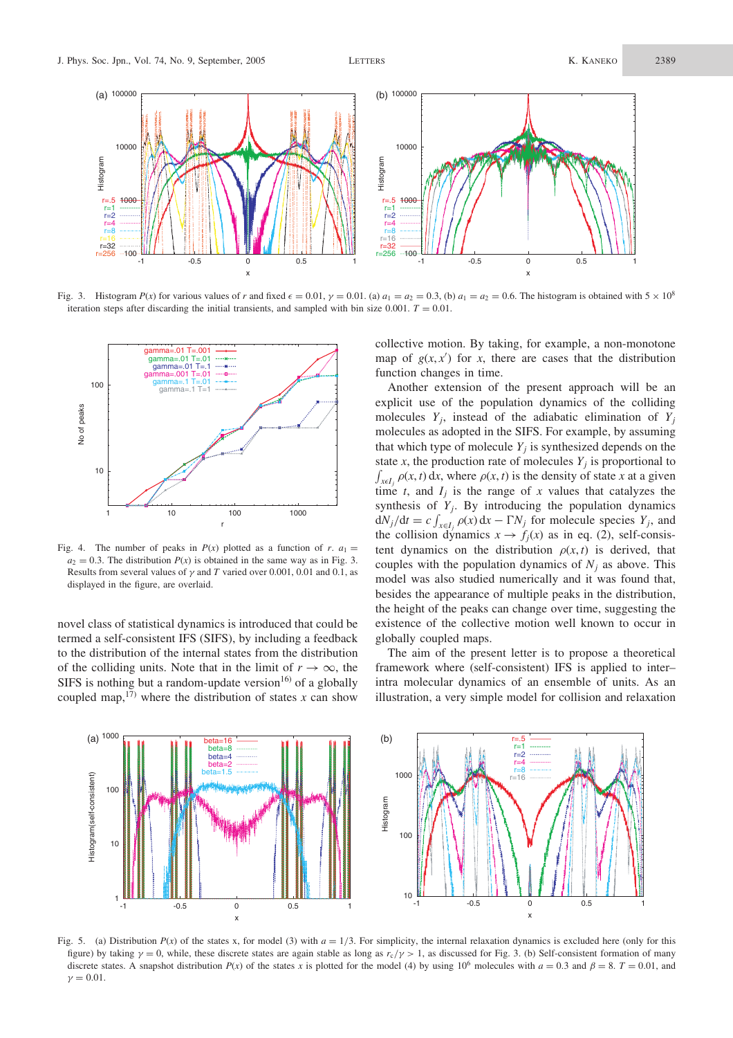

Fig. 3. Histogram  $P(x)$  for various values of r and fixed  $\epsilon = 0.01$ ,  $\gamma = 0.01$ . (a)  $a_1 = a_2 = 0.3$ , (b)  $a_1 = a_2 = 0.6$ . The histogram is obtained with  $5 \times 10^8$ iteration steps after discarding the initial transients, and sampled with bin size 0.001.  $T = 0.01$ .



Fig. 4. The number of peaks in  $P(x)$  plotted as a function of r.  $a_1 =$  $a_2 = 0.3$ . The distribution  $P(x)$  is obtained in the same way as in Fig. 3. Results from several values of  $\gamma$  and T varied over 0.001, 0.01 and 0.1, as displayed in the figure, are overlaid.

novel class of statistical dynamics is introduced that could be termed a self-consistent IFS (SIFS), by including a feedback to the distribution of the internal states from the distribution of the colliding units. Note that in the limit of  $r \to \infty$ , the SIFS is nothing but a random-update version<sup>16)</sup> of a globally coupled map,<sup>17)</sup> where the distribution of states x can show

collective motion. By taking, for example, a non-monotone map of  $g(x, x')$  for x, there are cases that the distribution function changes in time.

Another extension of the present approach will be an explicit use of the population dynamics of the colliding molecules  $Y_i$ , instead of the adiabatic elimination of  $Y_i$ molecules as adopted in the SIFS. For example, by assuming that which type of molecule  $Y_i$  is synthesized depends on the state x, the production rate of molecules  $Y_i$  is proportional to ں<br>ا  $\int_{x \in I_j} \rho(x, t) dx$ , where  $\rho(x, t)$  is the density of state x at a given time t, and  $I_i$  is the range of x values that catalyzes the synthesis of  $Y_j$ . By introducing the population dynamics  $dN_j/dt = c \int$  $\int_{x \in I_j} \rho(x) dx - \Gamma N_j$  for molecule species  $Y_j$ , and the collision dynamics  $x \to f_i(x)$  as in eq. (2), self-consistent dynamics on the distribution  $\rho(x, t)$  is derived, that couples with the population dynamics of  $N_i$  as above. This model was also studied numerically and it was found that, besides the appearance of multiple peaks in the distribution, the height of the peaks can change over time, suggesting the existence of the collective motion well known to occur in globally coupled maps.

The aim of the present letter is to propose a theoretical framework where (self-consistent) IFS is applied to inter– intra molecular dynamics of an ensemble of units. As an illustration, a very simple model for collision and relaxation



Fig. 5. (a) Distribution  $P(x)$  of the states x, for model (3) with  $a = 1/3$ . For simplicity, the internal relaxation dynamics is excluded here (only for this figure) by taking  $\gamma = 0$ , while, these discrete states are again stable as long as  $r_c/\gamma > 1$ , as discussed for Fig. 3. (b) Self-consistent formation of many discrete states. A snapshot distribution  $P(x)$  of the states x is plotted for the model (4) by using 10<sup>6</sup> molecules with  $a = 0.3$  and  $\beta = 8$ .  $T = 0.01$ , and  $\gamma = 0.01$ .